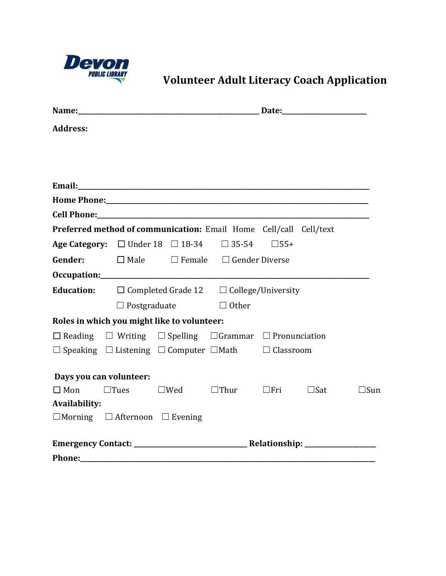

**Devon**<br>Wolunteer Adult Literacy Coach Application

| <b>Address:</b>      |                                                                                   |                                                          |                                                                |  |  |               |
|----------------------|-----------------------------------------------------------------------------------|----------------------------------------------------------|----------------------------------------------------------------|--|--|---------------|
|                      |                                                                                   |                                                          |                                                                |  |  |               |
|                      |                                                                                   |                                                          |                                                                |  |  |               |
|                      |                                                                                   |                                                          |                                                                |  |  |               |
|                      |                                                                                   |                                                          |                                                                |  |  |               |
|                      | Preferred method of communication: Email Home Cell/call Cell/text                 |                                                          |                                                                |  |  |               |
|                      | Age Category: $\Box$ Under 18 $\Box$ 18-34 $\Box$ 35-54 $\Box$ 55+                |                                                          |                                                                |  |  |               |
|                      |                                                                                   |                                                          | <b>Gender:</b> $\Box$ Male $\Box$ Female $\Box$ Gender Diverse |  |  |               |
|                      |                                                                                   |                                                          |                                                                |  |  |               |
|                      | <b>Education:</b> $\Box$ Completed Grade 12 $\Box$ College/University             |                                                          |                                                                |  |  |               |
|                      |                                                                                   | $\Box$ Postgraduate $\Box$ Other                         |                                                                |  |  |               |
|                      | Roles in which you might like to volunteer:                                       |                                                          |                                                                |  |  |               |
|                      | $\Box$ Reading $\Box$ Writing $\Box$ Spelling $\Box$ Grammar $\Box$ Pronunciation |                                                          |                                                                |  |  |               |
|                      | $\Box$ Speaking $\Box$ Listening $\Box$ Computer $\Box$ Math $\Box$ Classroom     |                                                          |                                                                |  |  |               |
|                      | Days you can volunteer:                                                           |                                                          |                                                                |  |  |               |
| $\Box$ Mon           | $\Box$ Tues                                                                       | $\square$ Wed $\square$ Thur $\square$ Fri $\square$ Sat |                                                                |  |  | $\square$ Sun |
| <b>Availability:</b> |                                                                                   |                                                          |                                                                |  |  |               |
|                      | $\Box$ Morning $\Box$ Afternoon $\Box$ Evening                                    |                                                          |                                                                |  |  |               |
|                      |                                                                                   |                                                          |                                                                |  |  |               |
| <b>Phone:</b>        |                                                                                   |                                                          |                                                                |  |  |               |